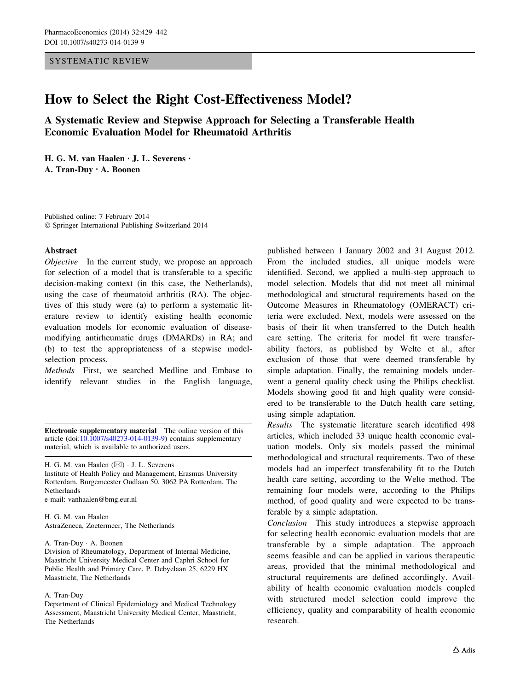## SYSTEMATIC REVIEW

# How to Select the Right Cost-Effectiveness Model?

A Systematic Review and Stepwise Approach for Selecting a Transferable Health Economic Evaluation Model for Rheumatoid Arthritis

H. G. M. van Haalen • J. L. Severens • A. Tran-Duy • A. Boonen

Published online: 7 February 2014 - Springer International Publishing Switzerland 2014

## Abstract

Objective In the current study, we propose an approach for selection of a model that is transferable to a specific decision-making context (in this case, the Netherlands), using the case of rheumatoid arthritis (RA). The objectives of this study were (a) to perform a systematic literature review to identify existing health economic evaluation models for economic evaluation of diseasemodifying antirheumatic drugs (DMARDs) in RA; and (b) to test the appropriateness of a stepwise modelselection process.

Methods First, we searched Medline and Embase to identify relevant studies in the English language,

Electronic supplementary material The online version of this article (doi:[10.1007/s40273-014-0139-9\)](http://dx.doi.org/10.1007/s40273-014-0139-9) contains supplementary material, which is available to authorized users.

H. G. M. van Haalen  $(\boxtimes) \cdot$  J. L. Severens Institute of Health Policy and Management, Erasmus University Rotterdam, Burgemeester Oudlaan 50, 3062 PA Rotterdam, The Netherlands e-mail: vanhaalen@bmg.eur.nl

H. G. M. van Haalen AstraZeneca, Zoetermeer, The Netherlands

A. Tran-Duy - A. Boonen

Division of Rheumatology, Department of Internal Medicine, Maastricht University Medical Center and Caphri School for Public Health and Primary Care, P. Debyelaan 25, 6229 HX Maastricht, The Netherlands

## A. Tran-Duy

Department of Clinical Epidemiology and Medical Technology Assessment, Maastricht University Medical Center, Maastricht, The Netherlands

published between 1 January 2002 and 31 August 2012. From the included studies, all unique models were identified. Second, we applied a multi-step approach to model selection. Models that did not meet all minimal methodological and structural requirements based on the Outcome Measures in Rheumatology (OMERACT) criteria were excluded. Next, models were assessed on the basis of their fit when transferred to the Dutch health care setting. The criteria for model fit were transferability factors, as published by Welte et al., after exclusion of those that were deemed transferable by simple adaptation. Finally, the remaining models underwent a general quality check using the Philips checklist. Models showing good fit and high quality were considered to be transferable to the Dutch health care setting, using simple adaptation.

Results The systematic literature search identified 498 articles, which included 33 unique health economic evaluation models. Only six models passed the minimal methodological and structural requirements. Two of these models had an imperfect transferability fit to the Dutch health care setting, according to the Welte method. The remaining four models were, according to the Philips method, of good quality and were expected to be transferable by a simple adaptation.

Conclusion This study introduces a stepwise approach for selecting health economic evaluation models that are transferable by a simple adaptation. The approach seems feasible and can be applied in various therapeutic areas, provided that the minimal methodological and structural requirements are defined accordingly. Availability of health economic evaluation models coupled with structured model selection could improve the efficiency, quality and comparability of health economic research.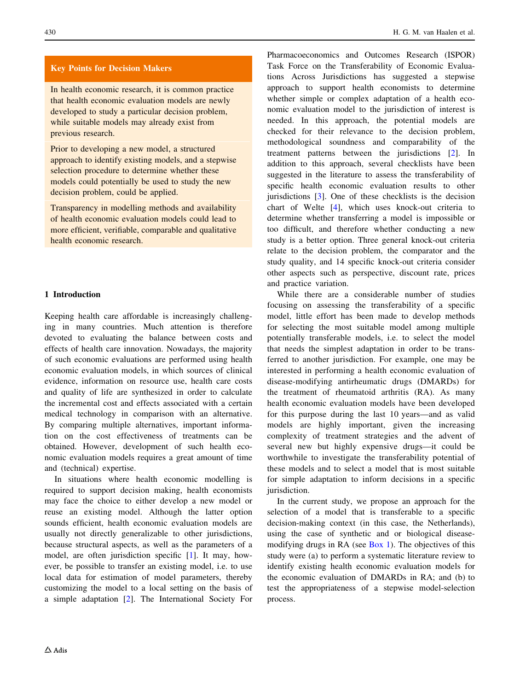## Key Points for Decision Makers

In health economic research, it is common practice that health economic evaluation models are newly developed to study a particular decision problem, while suitable models may already exist from previous research.

Prior to developing a new model, a structured approach to identify existing models, and a stepwise selection procedure to determine whether these models could potentially be used to study the new decision problem, could be applied.

Transparency in modelling methods and availability of health economic evaluation models could lead to more efficient, verifiable, comparable and qualitative health economic research.

## 1 Introduction

Keeping health care affordable is increasingly challenging in many countries. Much attention is therefore devoted to evaluating the balance between costs and effects of health care innovation. Nowadays, the majority of such economic evaluations are performed using health economic evaluation models, in which sources of clinical evidence, information on resource use, health care costs and quality of life are synthesized in order to calculate the incremental cost and effects associated with a certain medical technology in comparison with an alternative. By comparing multiple alternatives, important information on the cost effectiveness of treatments can be obtained. However, development of such health economic evaluation models requires a great amount of time and (technical) expertise.

In situations where health economic modelling is required to support decision making, health economists may face the choice to either develop a new model or reuse an existing model. Although the latter option sounds efficient, health economic evaluation models are usually not directly generalizable to other jurisdictions, because structural aspects, as well as the parameters of a model, are often jurisdiction specific [[1\]](#page-11-0). It may, however, be possible to transfer an existing model, i.e. to use local data for estimation of model parameters, thereby customizing the model to a local setting on the basis of a simple adaptation [[2\]](#page-11-0). The International Society For Pharmacoeconomics and Outcomes Research (ISPOR) Task Force on the Transferability of Economic Evaluations Across Jurisdictions has suggested a stepwise approach to support health economists to determine whether simple or complex adaptation of a health economic evaluation model to the jurisdiction of interest is needed. In this approach, the potential models are checked for their relevance to the decision problem, methodological soundness and comparability of the treatment patterns between the jurisdictions [[2\]](#page-11-0). In addition to this approach, several checklists have been suggested in the literature to assess the transferability of specific health economic evaluation results to other jurisdictions [[3\]](#page-11-0). One of these checklists is the decision chart of Welte [[4\]](#page-11-0), which uses knock-out criteria to determine whether transferring a model is impossible or too difficult, and therefore whether conducting a new study is a better option. Three general knock-out criteria relate to the decision problem, the comparator and the study quality, and 14 specific knock-out criteria consider other aspects such as perspective, discount rate, prices and practice variation.

While there are a considerable number of studies focusing on assessing the transferability of a specific model, little effort has been made to develop methods for selecting the most suitable model among multiple potentially transferable models, i.e. to select the model that needs the simplest adaptation in order to be transferred to another jurisdiction. For example, one may be interested in performing a health economic evaluation of disease-modifying antirheumatic drugs (DMARDs) for the treatment of rheumatoid arthritis (RA). As many health economic evaluation models have been developed for this purpose during the last 10 years—and as valid models are highly important, given the increasing complexity of treatment strategies and the advent of several new but highly expensive drugs—it could be worthwhile to investigate the transferability potential of these models and to select a model that is most suitable for simple adaptation to inform decisions in a specific jurisdiction.

In the current study, we propose an approach for the selection of a model that is transferable to a specific decision-making context (in this case, the Netherlands), using the case of synthetic and or biological diseasemodifying drugs in RA (see Box 1). The objectives of this study were (a) to perform a systematic literature review to identify existing health economic evaluation models for the economic evaluation of DMARDs in RA; and (b) to test the appropriateness of a stepwise model-selection process.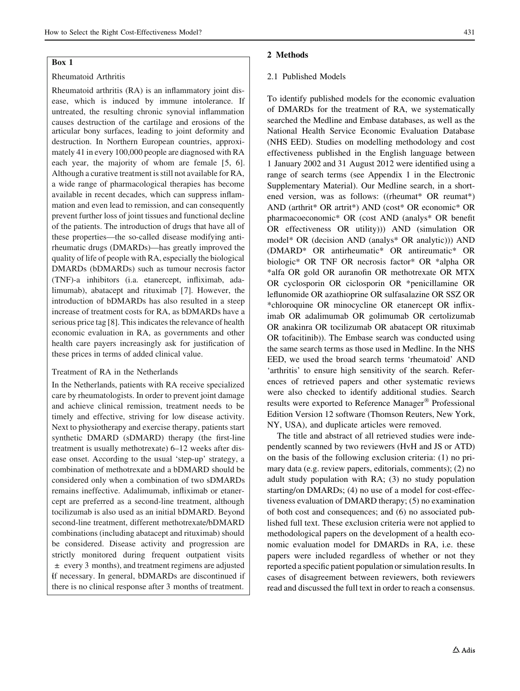## **Box 1**

## Rheumatoid Arthritis

Rheumatoid arthritis (RA) is an inflammatory joint disease, which is induced by immune intolerance. If untreated, the resulting chronic synovial inflammation causes destruction of the cartilage and erosions of the articular bony surfaces, leading to joint deformity and destruction. In Northern European countries, approximately 41 in every 100,000 people are diagnosed with RA each year, the majority of whom are female [5, 6]. Although a curative treatment is still not available for RA, a wide range of pharmacological therapies has become available in recent decades, which can suppress inflammation and even lead to remission, and can consequently prevent further loss of joint tissues and functional decline of the patients. The introduction of drugs that have all of these properties—the so-called disease modifying antirheumatic drugs (DMARDs)—has greatly improved the quality of life of people with RA, especially the biological DMARDs (bDMARDs) such as tumour necrosis factor (TNF)-a inhibitors (i.a. etanercept, infliximab, adalimumab), abatacept and rituximab [7]. However, the introduction of bDMARDs has also resulted in a steep increase of treatment costs for RA, as bDMARDs have a serious price tag [8]. This indicates the relevance of health economic evaluation in RA, as governments and other health care payers increasingly ask for justification of these prices in terms of added clinical value.

## Treatment of RA in the Netherlands

In the Netherlands, patients with RA receive specialized care by rheumatologists. In order to prevent joint damage and achieve clinical remission, treatment needs to be timely and effective, striving for low disease activity. Next to physiotherapy and exercise therapy, patients start synthetic DMARD (sDMARD) therapy (the first-line treatment is usually methotrexate) 6–12 weeks after disease onset. According to the usual 'step-up' strategy, a combination of methotrexate and a bDMARD should be considered only when a combination of two sDMARDs remains ineffective. Adalimumab, infliximab or etanercept are preferred as a second-line treatment, although tocilizumab is also used as an initial bDMARD. Beyond second-line treatment, different methotrexate/bDMARD combinations (including abatacept and rituximab) should be considered. Disease activity and progression are strictly monitored during frequent outpatient visits ( if necessary. In general, bDMARDs are discontinued if ± every 3 months), and treatment regimens are adjusted there is no clinical response after 3 months of treatment.

#### 2 Methods

## 2.1 Published Models

To identify published models for the economic evaluation of DMARDs for the treatment of RA, we systematically searched the Medline and Embase databases, as well as the National Health Service Economic Evaluation Database (NHS EED). Studies on modelling methodology and cost effectiveness published in the English language between 1 January 2002 and 31 August 2012 were identified using a range of search terms (see Appendix 1 in the Electronic Supplementary Material). Our Medline search, in a shortened version, was as follows: ((rheumat\* OR reumat\*) AND (arthrit\* OR artrit\*) AND (cost\* OR economic\* OR pharmacoeconomic\* OR (cost AND (analys\* OR benefit OR effectiveness OR utility))) AND (simulation OR model\* OR (decision AND (analys\* OR analytic))) AND (DMARD\* OR antirheumatic\* OR antireumatic\* OR biologic\* OR TNF OR necrosis factor\* OR \*alpha OR \*alfa OR gold OR auranofin OR methotrexate OR MTX OR cyclosporin OR ciclosporin OR \*penicillamine OR leflunomide OR azathioprine OR sulfasalazine OR SSZ OR \*chloroquine OR minocycline OR etanercept OR infliximab OR adalimumab OR golimumab OR certolizumab OR anakinra OR tocilizumab OR abatacept OR rituximab OR tofacitinib)). The Embase search was conducted using the same search terms as those used in Medline. In the NHS EED, we used the broad search terms 'rheumatoid' AND 'arthritis' to ensure high sensitivity of the search. References of retrieved papers and other systematic reviews were also checked to identify additional studies. Search results were exported to Reference Manager<sup>®</sup> Professional Edition Version 12 software (Thomson Reuters, New York, NY, USA), and duplicate articles were removed.

The title and abstract of all retrieved studies were independently scanned by two reviewers (HvH and JS or ATD) on the basis of the following exclusion criteria: (1) no primary data (e.g. review papers, editorials, comments); (2) no adult study population with RA; (3) no study population starting/on DMARDs; (4) no use of a model for cost-effectiveness evaluation of DMARD therapy; (5) no examination of both cost and consequences; and (6) no associated published full text. These exclusion criteria were not applied to methodological papers on the development of a health economic evaluation model for DMARDs in RA, i.e. these papers were included regardless of whether or not they reported a specific patient population or simulation results. In cases of disagreement between reviewers, both reviewers read and discussed the full text in order to reach a consensus.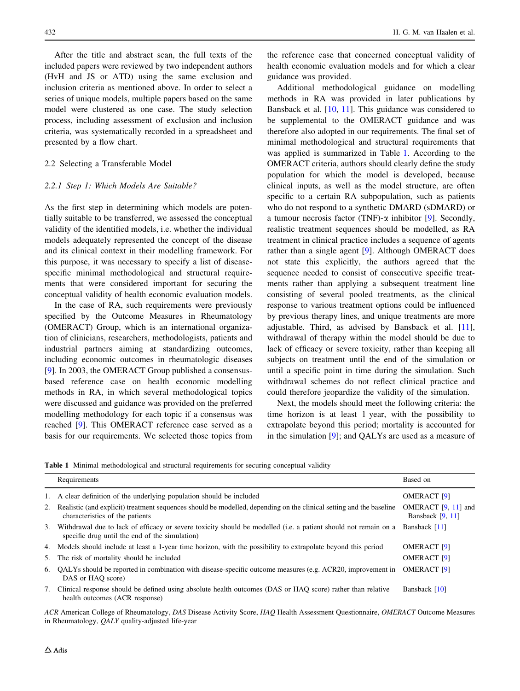After the title and abstract scan, the full texts of the included papers were reviewed by two independent authors (HvH and JS or ATD) using the same exclusion and inclusion criteria as mentioned above. In order to select a series of unique models, multiple papers based on the same model were clustered as one case. The study selection process, including assessment of exclusion and inclusion criteria, was systematically recorded in a spreadsheet and presented by a flow chart.

## 2.2 Selecting a Transferable Model

#### 2.2.1 Step 1: Which Models Are Suitable?

As the first step in determining which models are potentially suitable to be transferred, we assessed the conceptual validity of the identified models, i.e. whether the individual models adequately represented the concept of the disease and its clinical context in their modelling framework. For this purpose, it was necessary to specify a list of diseasespecific minimal methodological and structural requirements that were considered important for securing the conceptual validity of health economic evaluation models.

In the case of RA, such requirements were previously specified by the Outcome Measures in Rheumatology (OMERACT) Group, which is an international organization of clinicians, researchers, methodologists, patients and industrial partners aiming at standardizing outcomes, including economic outcomes in rheumatologic diseases [\[9](#page-11-0)]. In 2003, the OMERACT Group published a consensusbased reference case on health economic modelling methods in RA, in which several methodological topics were discussed and guidance was provided on the preferred modelling methodology for each topic if a consensus was reached [[9\]](#page-11-0). This OMERACT reference case served as a basis for our requirements. We selected those topics from

the reference case that concerned conceptual validity of health economic evaluation models and for which a clear guidance was provided.

Additional methodological guidance on modelling methods in RA was provided in later publications by Bansback et al. [\[10](#page-11-0), [11](#page-11-0)]. This guidance was considered to be supplemental to the OMERACT guidance and was therefore also adopted in our requirements. The final set of minimal methodological and structural requirements that was applied is summarized in Table 1. According to the OMERACT criteria, authors should clearly define the study population for which the model is developed, because clinical inputs, as well as the model structure, are often specific to a certain RA subpopulation, such as patients who do not respond to a synthetic DMARD (sDMARD) or a tumour necrosis factor (TNF)- $\alpha$  inhibitor [\[9\]](#page-11-0). Secondly, realistic treatment sequences should be modelled, as RA treatment in clinical practice includes a sequence of agents rather than a single agent [[9\]](#page-11-0). Although OMERACT does not state this explicitly, the authors agreed that the sequence needed to consist of consecutive specific treatments rather than applying a subsequent treatment line consisting of several pooled treatments, as the clinical response to various treatment options could be influenced by previous therapy lines, and unique treatments are more adjustable. Third, as advised by Bansback et al. [\[11](#page-11-0)], withdrawal of therapy within the model should be due to lack of efficacy or severe toxicity, rather than keeping all subjects on treatment until the end of the simulation or until a specific point in time during the simulation. Such withdrawal schemes do not reflect clinical practice and could therefore jeopardize the validity of the simulation.

Next, the models should meet the following criteria: the time horizon is at least 1 year, with the possibility to extrapolate beyond this period; mortality is accounted for in the simulation [\[9](#page-11-0)]; and QALYs are used as a measure of

Table 1 Minimal methodological and structural requirements for securing conceptual validity

| Requirements                                                                                                                                                         | Based on                                  |
|----------------------------------------------------------------------------------------------------------------------------------------------------------------------|-------------------------------------------|
| 1. A clear definition of the underlying population should be included                                                                                                | <b>OMERACT</b> [9]                        |
| 2. Realistic (and explicit) treatment sequences should be modelled, depending on the clinical setting and the baseline<br>characteristics of the patients            | OMERACT [9, 11] and<br>Bansback $[9, 11]$ |
| 3. Withdrawal due to lack of efficacy or severe toxicity should be modelled (i.e. a patient should not remain on a<br>specific drug until the end of the simulation) | Bansback [11]                             |
| 4. Models should include at least a 1-year time horizon, with the possibility to extrapolate beyond this period                                                      | <b>OMERACT</b> [9]                        |
| 5. The risk of mortality should be included                                                                                                                          | <b>OMERACT</b> [9]                        |
| 6. QALYs should be reported in combination with disease-specific outcome measures (e.g. ACR20, improvement in<br>DAS or HAO score)                                   | <b>OMERACT</b> [9]                        |
| 7. Clinical response should be defined using absolute health outcomes (DAS or HAQ score) rather than relative<br>health outcomes (ACR response)                      | Bansback [10]                             |

ACR American College of Rheumatology, DAS Disease Activity Score, HAQ Health Assessment Questionnaire, OMERACT Outcome Measures in Rheumatology, QALY quality-adjusted life-year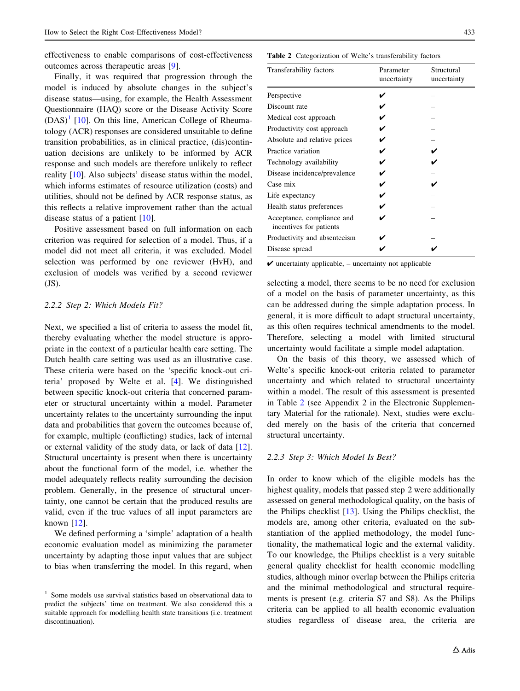effectiveness to enable comparisons of cost-effectiveness outcomes across therapeutic areas [\[9](#page-11-0)].

Finally, it was required that progression through the model is induced by absolute changes in the subject's disease status—using, for example, the Health Assessment Questionnaire (HAQ) score or the Disease Activity Score  $(DAS)^1$  [\[10](#page-11-0)]. On this line, American College of Rheumatology (ACR) responses are considered unsuitable to define transition probabilities, as in clinical practice, (dis)continuation decisions are unlikely to be informed by ACR response and such models are therefore unlikely to reflect reality [[10\]](#page-11-0). Also subjects' disease status within the model, which informs estimates of resource utilization (costs) and utilities, should not be defined by ACR response status, as this reflects a relative improvement rather than the actual disease status of a patient [[10\]](#page-11-0).

Positive assessment based on full information on each criterion was required for selection of a model. Thus, if a model did not meet all criteria, it was excluded. Model selection was performed by one reviewer (HvH), and exclusion of models was verified by a second reviewer (JS).

## 2.2.2 Step 2: Which Models Fit?

Next, we specified a list of criteria to assess the model fit, thereby evaluating whether the model structure is appropriate in the context of a particular health care setting. The Dutch health care setting was used as an illustrative case. These criteria were based on the 'specific knock-out criteria' proposed by Welte et al. [\[4](#page-11-0)]. We distinguished between specific knock-out criteria that concerned parameter or structural uncertainty within a model. Parameter uncertainty relates to the uncertainty surrounding the input data and probabilities that govern the outcomes because of, for example, multiple (conflicting) studies, lack of internal or external validity of the study data, or lack of data [\[12](#page-11-0)]. Structural uncertainty is present when there is uncertainty about the functional form of the model, i.e. whether the model adequately reflects reality surrounding the decision problem. Generally, in the presence of structural uncertainty, one cannot be certain that the produced results are valid, even if the true values of all input parameters are known [[12\]](#page-11-0).

We defined performing a 'simple' adaptation of a health economic evaluation model as minimizing the parameter uncertainty by adapting those input values that are subject to bias when transferring the model. In this regard, when

Table 2 Categorization of Welte's transferability factors

| Transferability factors                               | Parameter<br>uncertainty | Structural<br>uncertainty |
|-------------------------------------------------------|--------------------------|---------------------------|
| Perspective                                           |                          |                           |
| Discount rate                                         |                          |                           |
| Medical cost approach                                 | ✔                        |                           |
| Productivity cost approach                            | V                        |                           |
| Absolute and relative prices                          | V                        |                           |
| Practice variation                                    | ✓                        |                           |
| Technology availability                               | ✔                        |                           |
| Disease incidence/prevalence                          | ✓                        |                           |
| Case mix                                              | ✔                        |                           |
| Life expectancy                                       |                          |                           |
| Health status preferences                             | V                        |                           |
| Acceptance, compliance and<br>incentives for patients | ✔                        |                           |
| Productivity and absenteeism                          |                          |                           |
| Disease spread                                        |                          |                           |

 $\checkmark$  uncertainty applicable, – uncertainty not applicable

selecting a model, there seems to be no need for exclusion of a model on the basis of parameter uncertainty, as this can be addressed during the simple adaptation process. In general, it is more difficult to adapt structural uncertainty, as this often requires technical amendments to the model. Therefore, selecting a model with limited structural uncertainty would facilitate a simple model adaptation.

On the basis of this theory, we assessed which of Welte's specific knock-out criteria related to parameter uncertainty and which related to structural uncertainty within a model. The result of this assessment is presented in Table 2 (see Appendix 2 in the Electronic Supplementary Material for the rationale). Next, studies were excluded merely on the basis of the criteria that concerned structural uncertainty.

#### 2.2.3 Step 3: Which Model Is Best?

In order to know which of the eligible models has the highest quality, models that passed step 2 were additionally assessed on general methodological quality, on the basis of the Philips checklist [\[13](#page-11-0)]. Using the Philips checklist, the models are, among other criteria, evaluated on the substantiation of the applied methodology, the model functionality, the mathematical logic and the external validity. To our knowledge, the Philips checklist is a very suitable general quality checklist for health economic modelling studies, although minor overlap between the Philips criteria and the minimal methodological and structural requirements is present (e.g. criteria S7 and S8). As the Philips criteria can be applied to all health economic evaluation studies regardless of disease area, the criteria are

 $\frac{1}{1}$  Some models use survival statistics based on observational data to predict the subjects' time on treatment. We also considered this a suitable approach for modelling health state transitions (i.e. treatment discontinuation).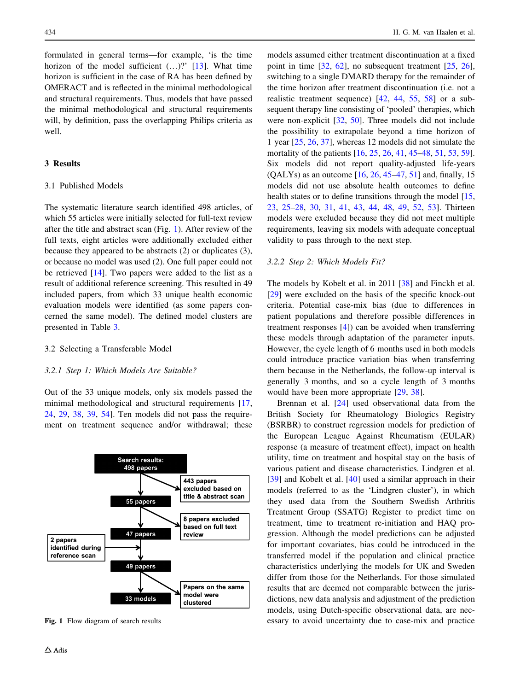formulated in general terms—for example, 'is the time horizon of the model sufficient  $(...)?$  [\[13](#page-11-0)]. What time horizon is sufficient in the case of RA has been defined by OMERACT and is reflected in the minimal methodological and structural requirements. Thus, models that have passed the minimal methodological and structural requirements will, by definition, pass the overlapping Philips criteria as well.

## 3 Results

## 3.1 Published Models

The systematic literature search identified 498 articles, of which 55 articles were initially selected for full-text review after the title and abstract scan (Fig. 1). After review of the full texts, eight articles were additionally excluded either because they appeared to be abstracts (2) or duplicates (3), or because no model was used (2). One full paper could not be retrieved  $[14]$  $[14]$ . Two papers were added to the list as a result of additional reference screening. This resulted in 49 included papers, from which 33 unique health economic evaluation models were identified (as some papers concerned the same model). The defined model clusters are presented in Table [3.](#page-6-0)

## 3.2 Selecting a Transferable Model

## 3.2.1 Step 1: Which Models Are Suitable?

Out of the 33 unique models, only six models passed the minimal methodological and structural requirements [[17,](#page-12-0) [24](#page-12-0), [29](#page-12-0), [38](#page-12-0), [39,](#page-12-0) [54\]](#page-13-0). Ten models did not pass the requirement on treatment sequence and/or withdrawal; these



models assumed either treatment discontinuation at a fixed point in time [[32,](#page-12-0) [62](#page-13-0)], no subsequent treatment [[25,](#page-12-0) [26](#page-12-0)], switching to a single DMARD therapy for the remainder of the time horizon after treatment discontinuation (i.e. not a realistic treatment sequence) [\[42](#page-12-0), [44](#page-12-0), [55,](#page-13-0) [58](#page-13-0)] or a subsequent therapy line consisting of 'pooled' therapies, which were non-explicit [\[32](#page-12-0), [50\]](#page-13-0). Three models did not include the possibility to extrapolate beyond a time horizon of 1 year [\[25](#page-12-0), [26](#page-12-0), [37](#page-12-0)], whereas 12 models did not simulate the mortality of the patients [\[16](#page-12-0), [25](#page-12-0), [26](#page-12-0), [41](#page-12-0), [45](#page-12-0)[–48](#page-13-0), [51](#page-13-0), [53](#page-13-0), [59](#page-13-0)]. Six models did not report quality-adjusted life-years (QALYs) as an outcome [\[16](#page-12-0), [26](#page-12-0), [45](#page-12-0)–[47,](#page-12-0) [51\]](#page-13-0) and, finally, 15 models did not use absolute health outcomes to define health states or to define transitions through the model [[15,](#page-12-0) [23](#page-12-0), [25](#page-12-0)–[28,](#page-12-0) [30,](#page-12-0) [31,](#page-12-0) [41,](#page-12-0) [43,](#page-12-0) [44](#page-12-0), [48](#page-13-0), [49](#page-13-0), [52](#page-13-0), [53](#page-13-0)]. Thirteen models were excluded because they did not meet multiple requirements, leaving six models with adequate conceptual validity to pass through to the next step.

#### 3.2.2 Step 2: Which Models Fit?

The models by Kobelt et al. in 2011 [[38\]](#page-12-0) and Finckh et al. [\[29](#page-12-0)] were excluded on the basis of the specific knock-out criteria. Potential case-mix bias (due to differences in patient populations and therefore possible differences in treatment responses [[4\]](#page-11-0)) can be avoided when transferring these models through adaptation of the parameter inputs. However, the cycle length of 6 months used in both models could introduce practice variation bias when transferring them because in the Netherlands, the follow-up interval is generally 3 months, and so a cycle length of 3 months would have been more appropriate [\[29](#page-12-0), [38\]](#page-12-0).

Brennan et al. [\[24](#page-12-0)] used observational data from the British Society for Rheumatology Biologics Registry (BSRBR) to construct regression models for prediction of the European League Against Rheumatism (EULAR) response (a measure of treatment effect), impact on health utility, time on treatment and hospital stay on the basis of various patient and disease characteristics. Lindgren et al. [\[39](#page-12-0)] and Kobelt et al. [[40\]](#page-12-0) used a similar approach in their models (referred to as the 'Lindgren cluster'), in which they used data from the Southern Swedish Arthritis Treatment Group (SSATG) Register to predict time on treatment, time to treatment re-initiation and HAQ progression. Although the model predictions can be adjusted for important covariates, bias could be introduced in the transferred model if the population and clinical practice characteristics underlying the models for UK and Sweden differ from those for the Netherlands. For those simulated results that are deemed not comparable between the jurisdictions, new data analysis and adjustment of the prediction models, using Dutch-specific observational data, are nec-Fig. 1 Flow diagram of search results essary to avoid uncertainty due to case-mix and practice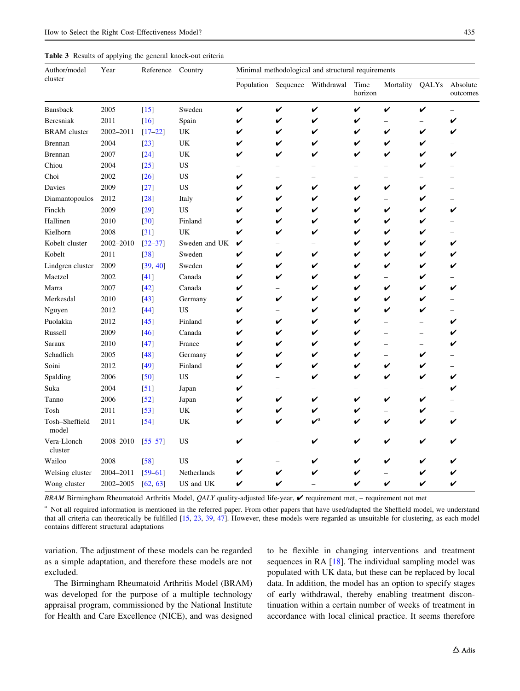<span id="page-6-0"></span>How to Select the Right Cost-Effectiveness Model? 435

|  |  |  |  |  |  | <b>Table 3</b> Results of applying the general knock-out criteria |  |
|--|--|--|--|--|--|-------------------------------------------------------------------|--|
|--|--|--|--|--|--|-------------------------------------------------------------------|--|

| Author/model            | Year      | Reference Country |               | Minimal methodological and structural requirements |                 |                                |                          |                          |                          |                      |
|-------------------------|-----------|-------------------|---------------|----------------------------------------------------|-----------------|--------------------------------|--------------------------|--------------------------|--------------------------|----------------------|
| cluster                 |           |                   |               |                                                    |                 | Population Sequence Withdrawal | Time<br>horizon          | Mortality                | QALYs                    | Absolute<br>outcomes |
| Bansback                | 2005      | $[15]$            | Sweden        | V                                                  | V               | V                              | V                        | V                        | V                        |                      |
| Beresniak               | 2011      | $[16]$            | Spain         | V                                                  | V               | V                              | V                        |                          |                          | V                    |
| <b>BRAM</b> cluster     | 2002-2011 | $[17 - 22]$       | UK            | V                                                  | V               | V                              | V                        | V                        | V                        | V                    |
| <b>Brennan</b>          | 2004      | $[23]$            | UK            | V                                                  | V               | V                              | V                        | V                        | V                        |                      |
| <b>Brennan</b>          | 2007      | $[24]$            | UK            | V                                                  | V               | V                              | V                        | V                        | V                        | V                    |
| Chiou                   | 2004      | $[25]$            | US            |                                                    |                 |                                |                          |                          | V                        |                      |
| Choi                    | 2002      | $[26]$            | US            | ✓                                                  | $\qquad \qquad$ |                                | $\overline{\phantom{0}}$ |                          |                          |                      |
| Davies                  | 2009      | $[27]$            | $_{\rm US}$   | V                                                  | V               | V                              | V                        | $\checkmark$             | V                        |                      |
| Diamantopoulos          | 2012      | $[28]$            | Italy         | V                                                  | V               | V                              | V                        |                          | V                        | -                    |
| Finckh                  | 2009      | $[29]$            | <b>US</b>     | V                                                  | V               | V                              | V                        | V                        | V                        | V                    |
| Hallinen                | 2010      | $[30]$            | Finland       | V                                                  | V               | V                              | V                        | V                        | V                        |                      |
| Kielhorn                | 2008      | $[31]$            | UK            | V                                                  | V               | V                              | V                        | V                        | V                        |                      |
| Kobelt cluster          | 2002-2010 | $[32 - 37]$       | Sweden and UK | $\checkmark$                                       |                 |                                | V                        | V                        | V                        | V                    |
| Kobelt                  | 2011      | $[38]$            | Sweden        | V                                                  | V               | V                              | V                        | V                        | V                        | V                    |
| Lindgren cluster        | 2009      | [39, 40]          | Sweden        | $\checkmark$                                       | V               | V                              | V                        | V                        | V                        | V                    |
| Maetzel                 | 2002      | $[41]$            | Canada        | V                                                  | V               | V                              | V                        |                          | V                        |                      |
| Marra                   | 2007      | $[42]$            | Canada        | V                                                  |                 |                                | V                        | V                        | V                        | ✓                    |
| Merkesdal               | 2010      | $[43]$            | Germany       | V                                                  | V               | V                              | V                        | V                        | V                        |                      |
| Nguyen                  | 2012      | $[44]$            | <b>US</b>     | V                                                  |                 | V                              | V                        | V                        | V                        |                      |
| Puolakka                | 2012      | $[45]$            | Finland       | V                                                  | V               | V                              | V                        | $\overline{\phantom{0}}$ | $\overline{\phantom{0}}$ | V                    |
| Russell                 | 2009      | $[46]$            | Canada        | V                                                  | V               | V                              | V                        | Ē,                       | $\overline{\phantom{0}}$ | V                    |
| Saraux                  | 2010      | $[47]$            | France        | V                                                  | V               | V                              | V                        |                          | -                        | V                    |
| Schadlich               | 2005      | $[48]$            | Germany       | V                                                  | V               | V                              | V                        | -                        | V                        |                      |
| Soini                   | 2012      | $[49]$            | Finland       | V                                                  | V               | V                              | V                        | V                        | V                        |                      |
| Spalding                | 2006      | $[50]$            | US            | V                                                  |                 | V                              | V                        | V                        | V                        | V                    |
| Suka                    | 2004      | [51]              | Japan         | V                                                  | -               |                                |                          |                          |                          | V                    |
| Tanno                   | 2006      | $[52]$            | Japan         | V                                                  | V               | V                              | V                        | V                        | V                        |                      |
| Tosh                    | 2011      | $[53]$            | UK            | V                                                  | V               | V                              | V                        | -                        | V                        |                      |
| Tosh-Sheffield<br>model | 2011      | $[54]$            | UK            | V                                                  | V               | $\boldsymbol{\nu}^{\rm a}$     | ✓                        | V                        | V                        | V                    |
| Vera-Llonch<br>cluster  | 2008-2010 | $[55 - 57]$       | US            |                                                    |                 |                                | V                        | V                        | V                        |                      |
| Wailoo                  | 2008      | $[58]$            | US            | V                                                  |                 |                                | V                        | V                        |                          |                      |
| Welsing cluster         | 2004-2011 | $[59 - 61]$       | Netherlands   | V                                                  | V               |                                | V                        |                          | V                        |                      |
| Wong cluster            | 2002-2005 | [62, 63]          | US and UK     | V                                                  | V               |                                | V                        | V                        | V                        | V                    |

BRAM Birmingham Rheumatoid Arthritis Model, QALY quality-adjusted life-year,  $\vee$  requirement met, – requirement not met

<sup>a</sup> Not all required information is mentioned in the referred paper. From other papers that have used/adapted the Sheffield model, we understand that all criteria can theoretically be fulfilled [[15](#page-12-0), [23,](#page-12-0) [39](#page-12-0), [47](#page-12-0)]. However, these models were regarded as unsuitable for clustering, as each model contains different structural adaptations

variation. The adjustment of these models can be regarded as a simple adaptation, and therefore these models are not excluded.

The Birmingham Rheumatoid Arthritis Model (BRAM) was developed for the purpose of a multiple technology appraisal program, commissioned by the National Institute for Health and Care Excellence (NICE), and was designed to be flexible in changing interventions and treatment sequences in RA [\[18](#page-12-0)]. The individual sampling model was populated with UK data, but these can be replaced by local data. In addition, the model has an option to specify stages of early withdrawal, thereby enabling treatment discontinuation within a certain number of weeks of treatment in accordance with local clinical practice. It seems therefore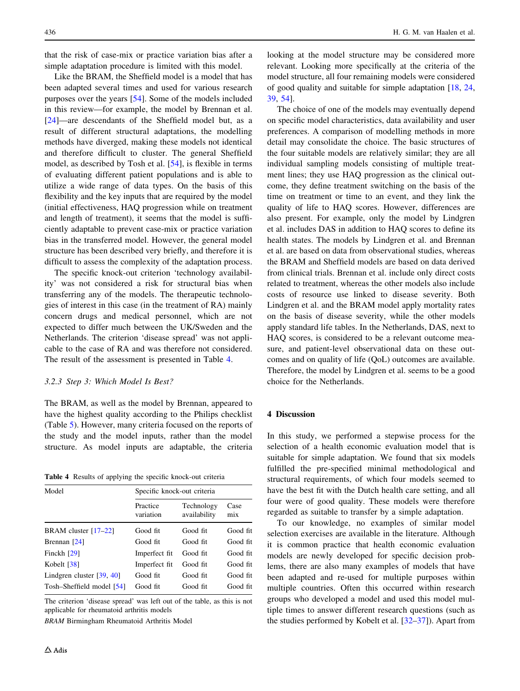that the risk of case-mix or practice variation bias after a simple adaptation procedure is limited with this model.

Like the BRAM, the Sheffield model is a model that has been adapted several times and used for various research purposes over the years [\[54](#page-13-0)]. Some of the models included in this review—for example, the model by Brennan et al. [\[24](#page-12-0)]—are descendants of the Sheffield model but, as a result of different structural adaptations, the modelling methods have diverged, making these models not identical and therefore difficult to cluster. The general Sheffield model, as described by Tosh et al. [\[54](#page-13-0)], is flexible in terms of evaluating different patient populations and is able to utilize a wide range of data types. On the basis of this flexibility and the key inputs that are required by the model (initial effectiveness, HAQ progression while on treatment and length of treatment), it seems that the model is sufficiently adaptable to prevent case-mix or practice variation bias in the transferred model. However, the general model structure has been described very briefly, and therefore it is difficult to assess the complexity of the adaptation process.

The specific knock-out criterion 'technology availability' was not considered a risk for structural bias when transferring any of the models. The therapeutic technologies of interest in this case (in the treatment of RA) mainly concern drugs and medical personnel, which are not expected to differ much between the UK/Sweden and the Netherlands. The criterion 'disease spread' was not applicable to the case of RA and was therefore not considered. The result of the assessment is presented in Table 4.

#### 3.2.3 Step 3: Which Model Is Best?

The BRAM, as well as the model by Brennan, appeared to have the highest quality according to the Philips checklist (Table [5\)](#page-8-0). However, many criteria focused on the reports of the study and the model inputs, rather than the model structure. As model inputs are adaptable, the criteria

Table 4 Results of applying the specific knock-out criteria

| Model                       | Specific knock-out criteria |                            |             |  |  |  |  |
|-----------------------------|-----------------------------|----------------------------|-------------|--|--|--|--|
|                             | Practice<br>variation       | Technology<br>availability | Case<br>mix |  |  |  |  |
| BRAM cluster [17-22]        | Good fit                    | Good fit                   | Good fit    |  |  |  |  |
| Brennan [24]                | Good fit                    | Good fit                   | Good fit    |  |  |  |  |
| Finckh $[29]$               | Imperfect fit               | Good fit                   | Good fit    |  |  |  |  |
| Kobelt [38]                 | Imperfect fit               | Good fit                   | Good fit    |  |  |  |  |
| Lindgren cluster $[39, 40]$ | Good fit                    | Good fit                   | Good fit    |  |  |  |  |
| Tosh-Sheffield model [54]   | Good fit                    | Good fit                   | Good fit    |  |  |  |  |

The criterion 'disease spread' was left out of the table, as this is not applicable for rheumatoid arthritis models

BRAM Birmingham Rheumatoid Arthritis Model

looking at the model structure may be considered more relevant. Looking more specifically at the criteria of the model structure, all four remaining models were considered of good quality and suitable for simple adaptation [\[18](#page-12-0), [24,](#page-12-0) [39](#page-12-0), [54\]](#page-13-0).

The choice of one of the models may eventually depend on specific model characteristics, data availability and user preferences. A comparison of modelling methods in more detail may consolidate the choice. The basic structures of the four suitable models are relatively similar; they are all individual sampling models consisting of multiple treatment lines; they use HAQ progression as the clinical outcome, they define treatment switching on the basis of the time on treatment or time to an event, and they link the quality of life to HAQ scores. However, differences are also present. For example, only the model by Lindgren et al. includes DAS in addition to HAQ scores to define its health states. The models by Lindgren et al. and Brennan et al. are based on data from observational studies, whereas the BRAM and Sheffield models are based on data derived from clinical trials. Brennan et al. include only direct costs related to treatment, whereas the other models also include costs of resource use linked to disease severity. Both Lindgren et al. and the BRAM model apply mortality rates on the basis of disease severity, while the other models apply standard life tables. In the Netherlands, DAS, next to HAQ scores, is considered to be a relevant outcome measure, and patient-level observational data on these outcomes and on quality of life (QoL) outcomes are available. Therefore, the model by Lindgren et al. seems to be a good choice for the Netherlands.

## 4 Discussion

In this study, we performed a stepwise process for the selection of a health economic evaluation model that is suitable for simple adaptation. We found that six models fulfilled the pre-specified minimal methodological and structural requirements, of which four models seemed to have the best fit with the Dutch health care setting, and all four were of good quality. These models were therefore regarded as suitable to transfer by a simple adaptation.

To our knowledge, no examples of similar model selection exercises are available in the literature. Although it is common practice that health economic evaluation models are newly developed for specific decision problems, there are also many examples of models that have been adapted and re-used for multiple purposes within multiple countries. Often this occurred within research groups who developed a model and used this model multiple times to answer different research questions (such as the studies performed by Kobelt et al. [[32–37\]](#page-12-0)). Apart from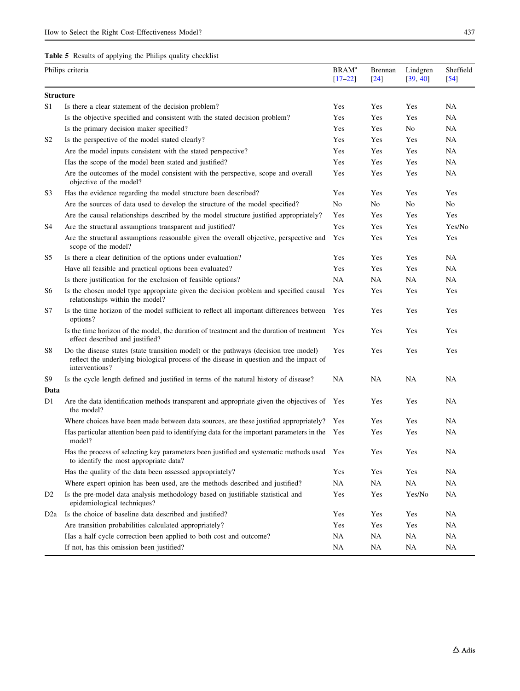# <span id="page-8-0"></span>Table 5 Results of applying the Philips quality checklist

|                  | Philips criteria                                                                                                                                                                                 | <b>BRAM</b> <sup>a</sup><br>$[17 - 22]$ | <b>Brennan</b><br>$[24]$ | Lindgren<br>[39, 40] | Sheffield<br>[54] |
|------------------|--------------------------------------------------------------------------------------------------------------------------------------------------------------------------------------------------|-----------------------------------------|--------------------------|----------------------|-------------------|
| <b>Structure</b> |                                                                                                                                                                                                  |                                         |                          |                      |                   |
| S1               | Is there a clear statement of the decision problem?                                                                                                                                              | Yes                                     | Yes                      | Yes                  | NA.               |
|                  | Is the objective specified and consistent with the stated decision problem?                                                                                                                      | Yes                                     | Yes                      | Yes                  | NA                |
|                  | Is the primary decision maker specified?                                                                                                                                                         | Yes                                     | Yes                      | No                   | NA.               |
| S <sub>2</sub>   | Is the perspective of the model stated clearly?                                                                                                                                                  | Yes                                     | Yes                      | Yes                  | NA                |
|                  | Are the model inputs consistent with the stated perspective?                                                                                                                                     | Yes                                     | Yes                      | Yes                  | NA                |
|                  | Has the scope of the model been stated and justified?                                                                                                                                            | Yes                                     | Yes                      | Yes                  | NA                |
|                  | Are the outcomes of the model consistent with the perspective, scope and overall<br>objective of the model?                                                                                      | Yes                                     | Yes                      | Yes                  | NA.               |
| S3               | Has the evidence regarding the model structure been described?                                                                                                                                   | Yes                                     | Yes                      | Yes                  | Yes               |
|                  | Are the sources of data used to develop the structure of the model specified?                                                                                                                    | No                                      | No                       | No                   | No                |
|                  | Are the causal relationships described by the model structure justified appropriately?                                                                                                           | Yes                                     | Yes                      | Yes                  | Yes               |
| S4               | Are the structural assumptions transparent and justified?                                                                                                                                        | Yes                                     | Yes                      | Yes                  | Yes/No            |
|                  | Are the structural assumptions reasonable given the overall objective, perspective and<br>scope of the model?                                                                                    | Yes                                     | Yes                      | Yes                  | Yes               |
| S5               | Is there a clear definition of the options under evaluation?                                                                                                                                     | Yes                                     | Yes                      | Yes                  | NA                |
|                  | Have all feasible and practical options been evaluated?                                                                                                                                          | Yes                                     | Yes                      | Yes                  | NA                |
|                  | Is there justification for the exclusion of feasible options?                                                                                                                                    | NA                                      | <b>NA</b>                | <b>NA</b>            | NA.               |
| S6               | Is the chosen model type appropriate given the decision problem and specified causal<br>relationships within the model?                                                                          | Yes                                     | Yes                      | Yes                  | Yes               |
| S7               | Is the time horizon of the model sufficient to reflect all important differences between<br>options?                                                                                             | Yes                                     | Yes                      | Yes                  | Yes               |
|                  | Is the time horizon of the model, the duration of treatment and the duration of treatment<br>effect described and justified?                                                                     | Yes                                     | Yes                      | Yes                  | Yes               |
| S8               | Do the disease states (state transition model) or the pathways (decision tree model)<br>reflect the underlying biological process of the disease in question and the impact of<br>interventions? | Yes                                     | Yes                      | Yes                  | Yes               |
| S <sub>9</sub>   | Is the cycle length defined and justified in terms of the natural history of disease?                                                                                                            | NA                                      | <b>NA</b>                | NA                   | NA.               |
| Data             |                                                                                                                                                                                                  |                                         |                          |                      |                   |
| D1               | Are the data identification methods transparent and appropriate given the objectives of<br>the model?                                                                                            | Yes                                     | Yes                      | Yes                  | NA                |
|                  | Where choices have been made between data sources, are these justified appropriately?                                                                                                            | Yes                                     | Yes                      | Yes                  | NA                |
|                  | Has particular attention been paid to identifying data for the important parameters in the Yes<br>model?                                                                                         |                                         | Yes                      | Yes                  | NA.               |
|                  | Has the process of selecting key parameters been justified and systematic methods used Yes<br>to identify the most appropriate data?                                                             |                                         | Yes                      | Yes                  | <b>NA</b>         |
|                  | Has the quality of the data been assessed appropriately?                                                                                                                                         | Yes                                     | Yes                      | Yes                  | <b>NA</b>         |
|                  | Where expert opinion has been used, are the methods described and justified?                                                                                                                     | <b>NA</b>                               | <b>NA</b>                | NA                   | <b>NA</b>         |
| D <sub>2</sub>   | Is the pre-model data analysis methodology based on justifiable statistical and<br>epidemiological techniques?                                                                                   | Yes                                     | Yes                      | Yes/No               | NA.               |
| D2a              | Is the choice of baseline data described and justified?                                                                                                                                          | Yes                                     | Yes                      | Yes                  | NA                |
|                  | Are transition probabilities calculated appropriately?                                                                                                                                           | Yes                                     | Yes                      | Yes                  | NA                |
|                  | Has a half cycle correction been applied to both cost and outcome?                                                                                                                               | <b>NA</b>                               | <b>NA</b>                | <b>NA</b>            | NA                |
|                  | If not, has this omission been justified?                                                                                                                                                        | <b>NA</b>                               | <b>NA</b>                | <b>NA</b>            | NA                |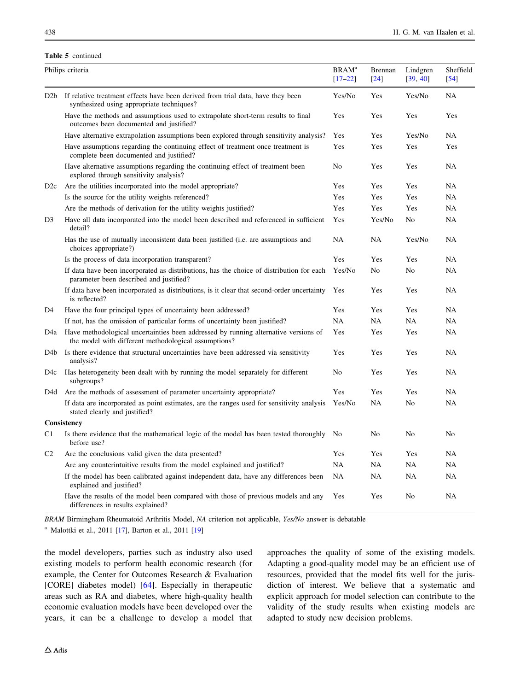# Table 5 continued

|                | Philips criteria                                                                                                                                | <b>BRAM</b> <sup>a</sup><br>$[17 - 22]$ | <b>Brennan</b><br>$\lceil 24 \rceil$ | Lindgren<br>[39, 40] | Sheffield<br>$\sqrt{54}$ |
|----------------|-------------------------------------------------------------------------------------------------------------------------------------------------|-----------------------------------------|--------------------------------------|----------------------|--------------------------|
| D2b            | If relative treatment effects have been derived from trial data, have they been<br>synthesized using appropriate techniques?                    | Yes/No                                  | Yes                                  | Yes/No               | NA                       |
|                | Have the methods and assumptions used to extrapolate short-term results to final<br>outcomes been documented and justified?                     | Yes                                     | Yes                                  | Yes                  | Yes                      |
|                | Have alternative extrapolation assumptions been explored through sensitivity analysis?                                                          | Yes                                     | Yes                                  | Yes/No               | NA                       |
|                | Have assumptions regarding the continuing effect of treatment once treatment is<br>complete been documented and justified?                      | Yes                                     | Yes                                  | Yes                  | Yes                      |
|                | Have alternative assumptions regarding the continuing effect of treatment been<br>explored through sensitivity analysis?                        | N <sub>0</sub>                          | Yes                                  | Yes                  | NA                       |
| D2c            | Are the utilities incorporated into the model appropriate?                                                                                      | Yes                                     | Yes                                  | Yes                  | NA                       |
|                | Is the source for the utility weights referenced?                                                                                               | Yes                                     | Yes                                  | Yes                  | NA                       |
|                | Are the methods of derivation for the utility weights justified?                                                                                | Yes                                     | Yes                                  | Yes                  | NA                       |
| D <sub>3</sub> | Have all data incorporated into the model been described and referenced in sufficient<br>detail?                                                | Yes                                     | Yes/No                               | N <sub>0</sub>       | <b>NA</b>                |
|                | Has the use of mutually inconsistent data been justified (i.e. are assumptions and<br>choices appropriate?)                                     | <b>NA</b>                               | NA                                   | Yes/No               | NA                       |
|                | Is the process of data incorporation transparent?                                                                                               | Yes                                     | Yes                                  | Yes                  | <b>NA</b>                |
|                | If data have been incorporated as distributions, has the choice of distribution for each<br>parameter been described and justified?             | Yes/No                                  | No                                   | No                   | NA                       |
|                | If data have been incorporated as distributions, is it clear that second-order uncertainty<br>is reflected?                                     | Yes                                     | Yes                                  | Yes                  | <b>NA</b>                |
| D4             | Have the four principal types of uncertainty been addressed?                                                                                    | Yes                                     | Yes                                  | Yes                  | NA                       |
|                | If not, has the omission of particular forms of uncertainty been justified?                                                                     | NA                                      | <b>NA</b>                            | <b>NA</b>            | NA                       |
|                | D4a Have methodological uncertainties been addressed by running alternative versions of<br>the model with different methodological assumptions? | Yes                                     | Yes                                  | Yes                  | NA                       |
| D4b            | Is there evidence that structural uncertainties have been addressed via sensitivity<br>analysis?                                                | Yes                                     | Yes                                  | Yes                  | NA                       |
| D4c            | Has heterogeneity been dealt with by running the model separately for different<br>subgroups?                                                   | No                                      | Yes                                  | Yes                  | NA                       |
| D4d            | Are the methods of assessment of parameter uncertainty appropriate?                                                                             | Yes                                     | Yes                                  | Yes                  | NA                       |
|                | If data are incorporated as point estimates, are the ranges used for sensitivity analysis<br>stated clearly and justified?                      | Yes/No                                  | <b>NA</b>                            | N <sub>0</sub>       | NA                       |
|                | Consistency                                                                                                                                     |                                         |                                      |                      |                          |
| C1             | Is there evidence that the mathematical logic of the model has been tested thoroughly<br>before use?                                            | No                                      | No                                   | No                   | No                       |
| C <sub>2</sub> | Are the conclusions valid given the data presented?                                                                                             | Yes                                     | Yes                                  | Yes                  | NA                       |
|                | Are any counterintuitive results from the model explained and justified?                                                                        | <b>NA</b>                               | <b>NA</b>                            | <b>NA</b>            | <b>NA</b>                |
|                | If the model has been calibrated against independent data, have any differences been<br>explained and justified?                                | <b>NA</b>                               | <b>NA</b>                            | <b>NA</b>            | NA                       |
|                | Have the results of the model been compared with those of previous models and any<br>differences in results explained?                          | Yes                                     | Yes                                  | N <sub>0</sub>       | NA                       |

BRAM Birmingham Rheumatoid Arthritis Model, NA criterion not applicable, Yes/No answer is debatable

<sup>a</sup> Malottki et al., 2011 [\[17](#page-12-0)], Barton et al., 2011 [[19\]](#page-12-0)

the model developers, parties such as industry also used existing models to perform health economic research (for example, the Center for Outcomes Research & Evaluation [CORE] diabetes model) [[64\]](#page-13-0). Especially in therapeutic areas such as RA and diabetes, where high-quality health economic evaluation models have been developed over the years, it can be a challenge to develop a model that approaches the quality of some of the existing models. Adapting a good-quality model may be an efficient use of resources, provided that the model fits well for the jurisdiction of interest. We believe that a systematic and explicit approach for model selection can contribute to the validity of the study results when existing models are adapted to study new decision problems.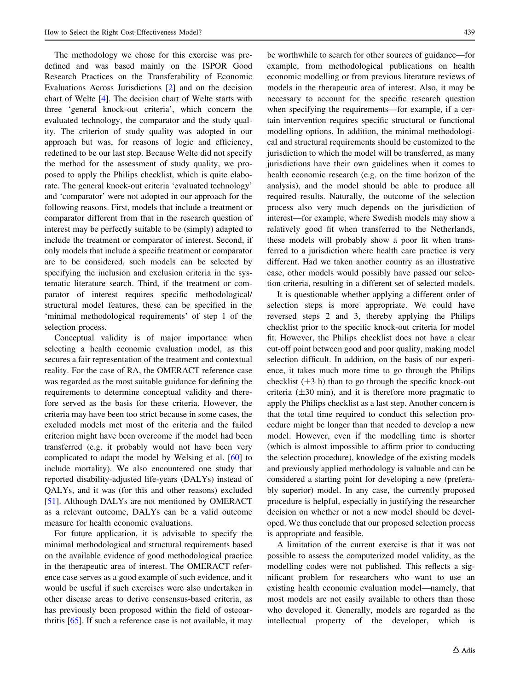The methodology we chose for this exercise was predefined and was based mainly on the ISPOR Good Research Practices on the Transferability of Economic Evaluations Across Jurisdictions [\[2](#page-11-0)] and on the decision chart of Welte [\[4](#page-11-0)]. The decision chart of Welte starts with three 'general knock-out criteria', which concern the evaluated technology, the comparator and the study quality. The criterion of study quality was adopted in our approach but was, for reasons of logic and efficiency, redefined to be our last step. Because Welte did not specify the method for the assessment of study quality, we proposed to apply the Philips checklist, which is quite elaborate. The general knock-out criteria 'evaluated technology' and 'comparator' were not adopted in our approach for the following reasons. First, models that include a treatment or comparator different from that in the research question of interest may be perfectly suitable to be (simply) adapted to include the treatment or comparator of interest. Second, if only models that include a specific treatment or comparator are to be considered, such models can be selected by specifying the inclusion and exclusion criteria in the systematic literature search. Third, if the treatment or comparator of interest requires specific methodological/ structural model features, these can be specified in the 'minimal methodological requirements' of step 1 of the selection process.

Conceptual validity is of major importance when selecting a health economic evaluation model, as this secures a fair representation of the treatment and contextual reality. For the case of RA, the OMERACT reference case was regarded as the most suitable guidance for defining the requirements to determine conceptual validity and therefore served as the basis for these criteria. However, the criteria may have been too strict because in some cases, the excluded models met most of the criteria and the failed criterion might have been overcome if the model had been transferred (e.g. it probably would not have been very complicated to adapt the model by Welsing et al. [\[60](#page-13-0)] to include mortality). We also encountered one study that reported disability-adjusted life-years (DALYs) instead of QALYs, and it was (for this and other reasons) excluded [\[51](#page-13-0)]. Although DALYs are not mentioned by OMERACT as a relevant outcome, DALYs can be a valid outcome measure for health economic evaluations.

For future application, it is advisable to specify the minimal methodological and structural requirements based on the available evidence of good methodological practice in the therapeutic area of interest. The OMERACT reference case serves as a good example of such evidence, and it would be useful if such exercises were also undertaken in other disease areas to derive consensus-based criteria, as has previously been proposed within the field of osteoarthritis [[65](#page-13-0)]. If such a reference case is not available, it may be worthwhile to search for other sources of guidance—for example, from methodological publications on health economic modelling or from previous literature reviews of models in the therapeutic area of interest. Also, it may be necessary to account for the specific research question when specifying the requirements—for example, if a certain intervention requires specific structural or functional modelling options. In addition, the minimal methodological and structural requirements should be customized to the jurisdiction to which the model will be transferred, as many jurisdictions have their own guidelines when it comes to health economic research (e.g. on the time horizon of the analysis), and the model should be able to produce all required results. Naturally, the outcome of the selection process also very much depends on the jurisdiction of interest—for example, where Swedish models may show a relatively good fit when transferred to the Netherlands, these models will probably show a poor fit when transferred to a jurisdiction where health care practice is very different. Had we taken another country as an illustrative case, other models would possibly have passed our selection criteria, resulting in a different set of selected models.

It is questionable whether applying a different order of selection steps is more appropriate. We could have reversed steps 2 and 3, thereby applying the Philips checklist prior to the specific knock-out criteria for model fit. However, the Philips checklist does not have a clear cut-off point between good and poor quality, making model selection difficult. In addition, on the basis of our experience, it takes much more time to go through the Philips checklist  $(\pm 3 h)$  than to go through the specific knock-out criteria  $(\pm 30 \text{ min})$ , and it is therefore more pragmatic to apply the Philips checklist as a last step. Another concern is that the total time required to conduct this selection procedure might be longer than that needed to develop a new model. However, even if the modelling time is shorter (which is almost impossible to affirm prior to conducting the selection procedure), knowledge of the existing models and previously applied methodology is valuable and can be considered a starting point for developing a new (preferably superior) model. In any case, the currently proposed procedure is helpful, especially in justifying the researcher decision on whether or not a new model should be developed. We thus conclude that our proposed selection process is appropriate and feasible.

A limitation of the current exercise is that it was not possible to assess the computerized model validity, as the modelling codes were not published. This reflects a significant problem for researchers who want to use an existing health economic evaluation model—namely, that most models are not easily available to others than those who developed it. Generally, models are regarded as the intellectual property of the developer, which is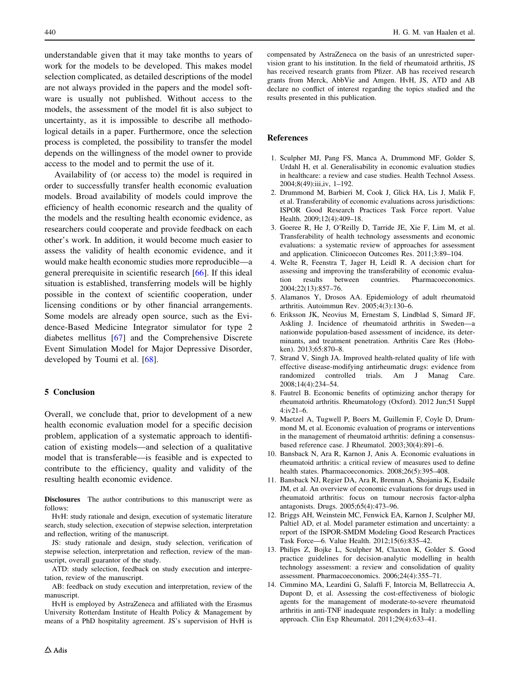<span id="page-11-0"></span>understandable given that it may take months to years of work for the models to be developed. This makes model selection complicated, as detailed descriptions of the model are not always provided in the papers and the model software is usually not published. Without access to the models, the assessment of the model fit is also subject to uncertainty, as it is impossible to describe all methodological details in a paper. Furthermore, once the selection process is completed, the possibility to transfer the model depends on the willingness of the model owner to provide access to the model and to permit the use of it.

Availability of (or access to) the model is required in order to successfully transfer health economic evaluation models. Broad availability of models could improve the efficiency of health economic research and the quality of the models and the resulting health economic evidence, as researchers could cooperate and provide feedback on each other's work. In addition, it would become much easier to assess the validity of health economic evidence, and it would make health economic studies more reproducible—a general prerequisite in scientific research [[66\]](#page-13-0). If this ideal situation is established, transferring models will be highly possible in the context of scientific cooperation, under licensing conditions or by other financial arrangements. Some models are already open source, such as the Evidence-Based Medicine Integrator simulator for type 2 diabetes mellitus [[67\]](#page-13-0) and the Comprehensive Discrete Event Simulation Model for Major Depressive Disorder, developed by Toumi et al. [[68\]](#page-13-0).

# 5 Conclusion

Overall, we conclude that, prior to development of a new health economic evaluation model for a specific decision problem, application of a systematic approach to identification of existing models—and selection of a qualitative model that is transferable—is feasible and is expected to contribute to the efficiency, quality and validity of the resulting health economic evidence.

Disclosures The author contributions to this manuscript were as follows:

HvH: study rationale and design, execution of systematic literature search, study selection, execution of stepwise selection, interpretation and reflection, writing of the manuscript.

JS: study rationale and design, study selection, verification of stepwise selection, interpretation and reflection, review of the manuscript, overall guarantor of the study.

ATD: study selection, feedback on study execution and interpretation, review of the manuscript.

AB: feedback on study execution and interpretation, review of the manuscript.

HvH is employed by AstraZeneca and affiliated with the Erasmus University Rotterdam Institute of Health Policy & Management by means of a PhD hospitality agreement. JS's supervision of HvH is compensated by AstraZeneca on the basis of an unrestricted supervision grant to his institution. In the field of rheumatoid arthritis, JS has received research grants from Pfizer. AB has received research grants from Merck, AbbVie and Amgen. HvH, JS, ATD and AB declare no conflict of interest regarding the topics studied and the results presented in this publication.

## References

- 1. Sculpher MJ, Pang FS, Manca A, Drummond MF, Golder S, Urdahl H, et al. Generalisability in economic evaluation studies in healthcare: a review and case studies. Health Technol Assess. 2004;8(49):iii,iv, 1–192.
- 2. Drummond M, Barbieri M, Cook J, Glick HA, Lis J, Malik F, et al. Transferability of economic evaluations across jurisdictions: ISPOR Good Research Practices Task Force report. Value Health. 2009;12(4):409–18.
- 3. Goeree R, He J, O'Reilly D, Tarride JE, Xie F, Lim M, et al. Transferability of health technology assessments and economic evaluations: a systematic review of approaches for assessment and application. Clinicoecon Outcomes Res. 2011;3:89–104.
- 4. Welte R, Feenstra T, Jager H, Leidl R. A decision chart for assessing and improving the transferability of economic evaluation results between countries. Pharmacoeconomics. 2004;22(13):857–76.
- 5. Alamanos Y, Drosos AA. Epidemiology of adult rheumatoid arthritis. Autoimmun Rev. 2005;4(3):130–6.
- 6. Eriksson JK, Neovius M, Ernestam S, Lindblad S, Simard JF, Askling J. Incidence of rheumatoid arthritis in Sweden—a nationwide population-based assessment of incidence, its determinants, and treatment penetration. Arthritis Care Res (Hoboken). 2013;65:870–8.
- 7. Strand V, Singh JA. Improved health-related quality of life with effective disease-modifying antirheumatic drugs: evidence from randomized controlled trials. Am J Manag Care. 2008;14(4):234–54.
- 8. Fautrel B. Economic benefits of optimizing anchor therapy for rheumatoid arthritis. Rheumatology (Oxford). 2012 Jun;51 Suppl 4:iv21–6.
- 9. Maetzel A, Tugwell P, Boers M, Guillemin F, Coyle D, Drummond M, et al. Economic evaluation of programs or interventions in the management of rheumatoid arthritis: defining a consensusbased reference case. J Rheumatol. 2003;30(4):891–6.
- 10. Bansback N, Ara R, Karnon J, Anis A. Economic evaluations in rheumatoid arthritis: a critical review of measures used to define health states. Pharmacoeconomics. 2008;26(5):395–408.
- 11. Bansback NJ, Regier DA, Ara R, Brennan A, Shojania K, Esdaile JM, et al. An overview of economic evaluations for drugs used in rheumatoid arthritis: focus on tumour necrosis factor-alpha antagonists. Drugs. 2005;65(4):473–96.
- 12. Briggs AH, Weinstein MC, Fenwick EA, Karnon J, Sculpher MJ, Paltiel AD, et al. Model parameter estimation and uncertainty: a report of the ISPOR-SMDM Modeling Good Research Practices Task Force—6. Value Health. 2012;15(6):835–42.
- 13. Philips Z, Bojke L, Sculpher M, Claxton K, Golder S. Good practice guidelines for decision-analytic modelling in health technology assessment: a review and consolidation of quality assessment. Pharmacoeconomics. 2006;24(4):355–71.
- 14. Cimmino MA, Leardini G, Salaffi F, Intorcia M, Bellatreccia A, Dupont D, et al. Assessing the cost-effectiveness of biologic agents for the management of moderate-to-severe rheumatoid arthritis in anti-TNF inadequate responders in Italy: a modelling approach. Clin Exp Rheumatol. 2011;29(4):633–41.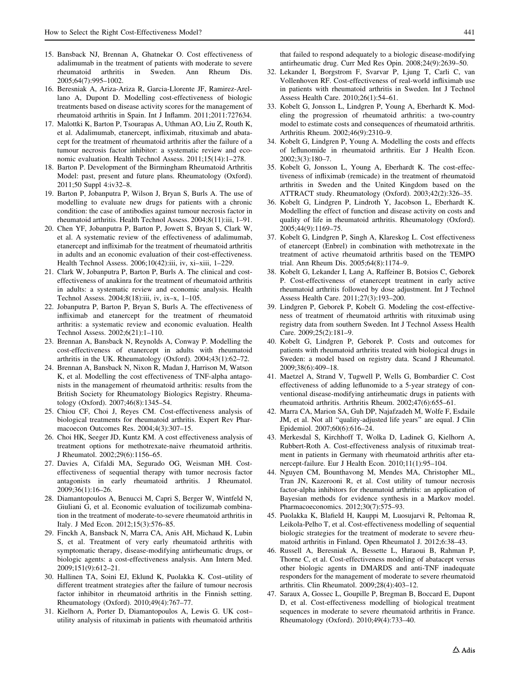- <span id="page-12-0"></span>15. Bansback NJ, Brennan A, Ghatnekar O. Cost effectiveness of adalimumab in the treatment of patients with moderate to severe rheumatoid arthritis in Sweden. Ann Rheum Dis. 2005;64(7):995–1002.
- 16. Beresniak A, Ariza-Ariza R, Garcia-Llorente JF, Ramirez-Arellano A, Dupont D. Modelling cost-effectiveness of biologic treatments based on disease activity scores for the management of rheumatoid arthritis in Spain. Int J Inflamm. 2011;2011:727634.
- 17. Malottki K, Barton P, Tsourapas A, Uthman AO, Liu Z, Routh K, et al. Adalimumab, etanercept, infliximab, rituximab and abatacept for the treatment of rheumatoid arthritis after the failure of a tumour necrosis factor inhibitor: a systematic review and economic evaluation. Health Technol Assess. 2011;15(14):1–278.
- 18. Barton P. Development of the Birmingham Rheumatoid Arthritis Model: past, present and future plans. Rheumatology (Oxford). 2011;50 Suppl 4:iv32–8.
- 19. Barton P, Jobanputra P, Wilson J, Bryan S, Burls A. The use of modelling to evaluate new drugs for patients with a chronic condition: the case of antibodies against tumour necrosis factor in rheumatoid arthritis. Health Technol Assess. 2004;8(11):iii, 1–91.
- 20. Chen YF, Jobanputra P, Barton P, Jowett S, Bryan S, Clark W, et al. A systematic review of the effectiveness of adalimumab, etanercept and infliximab for the treatment of rheumatoid arthritis in adults and an economic evaluation of their cost-effectiveness. Health Technol Assess. 2006;10(42):iii, iv, xi–xiii, 1–229.
- 21. Clark W, Jobanputra P, Barton P, Burls A. The clinical and costeffectiveness of anakinra for the treatment of rheumatoid arthritis in adults: a systematic review and economic analysis. Health Technol Assess. 2004;8(18):iii, iv, ix–x, 1–105.
- 22. Jobanputra P, Barton P, Bryan S, Burls A. The effectiveness of infliximab and etanercept for the treatment of rheumatoid arthritis: a systematic review and economic evaluation. Health Technol Assess. 2002;6(21):1–110.
- 23. Brennan A, Bansback N, Reynolds A, Conway P. Modelling the cost-effectiveness of etanercept in adults with rheumatoid arthritis in the UK. Rheumatology (Oxford). 2004;43(1):62–72.
- 24. Brennan A, Bansback N, Nixon R, Madan J, Harrison M, Watson K, et al. Modelling the cost effectiveness of TNF-alpha antagonists in the management of rheumatoid arthritis: results from the British Society for Rheumatology Biologics Registry. Rheumatology (Oxford). 2007;46(8):1345–54.
- 25. Chiou CF, Choi J, Reyes CM. Cost-effectiveness analysis of biological treatments for rheumatoid arthritis. Expert Rev Pharmacoecon Outcomes Res. 2004;4(3):307–15.
- 26. Choi HK, Seeger JD, Kuntz KM. A cost effectiveness analysis of treatment options for methotrexate-naive rheumatoid arthritis. J Rheumatol. 2002;29(6):1156–65.
- 27. Davies A, Cifaldi MA, Segurado OG, Weisman MH. Costeffectiveness of sequential therapy with tumor necrosis factor antagonists in early rheumatoid arthritis. J Rheumatol. 2009;36(1):16–26.
- 28. Diamantopoulos A, Benucci M, Capri S, Berger W, Wintfeld N, Giuliani G, et al. Economic evaluation of tocilizumab combination in the treatment of moderate-to-severe rheumatoid arthritis in Italy. J Med Econ. 2012;15(3):576–85.
- 29. Finckh A, Bansback N, Marra CA, Anis AH, Michaud K, Lubin S, et al. Treatment of very early rheumatoid arthritis with symptomatic therapy, disease-modifying antirheumatic drugs, or biologic agents: a cost-effectiveness analysis. Ann Intern Med. 2009;151(9):612–21.
- 30. Hallinen TA, Soini EJ, Eklund K, Puolakka K. Cost–utility of different treatment strategies after the failure of tumour necrosis factor inhibitor in rheumatoid arthritis in the Finnish setting. Rheumatology (Oxford). 2010;49(4):767–77.
- 31. Kielhorn A, Porter D, Diamantopoulos A, Lewis G. UK cost– utility analysis of rituximab in patients with rheumatoid arthritis

that failed to respond adequately to a biologic disease-modifying antirheumatic drug. Curr Med Res Opin. 2008;24(9):2639–50.

- 32. Lekander I, Borgstrom F, Svarvar P, Ljung T, Carli C, van Vollenhoven RF. Cost-effectiveness of real-world infliximab use in patients with rheumatoid arthritis in Sweden. Int J Technol Assess Health Care. 2010;26(1):54–61.
- 33. Kobelt G, Jonsson L, Lindgren P, Young A, Eberhardt K. Modeling the progression of rheumatoid arthritis: a two-country model to estimate costs and consequences of rheumatoid arthritis. Arthritis Rheum. 2002;46(9):2310–9.
- 34. Kobelt G, Lindgren P, Young A. Modelling the costs and effects of leflunomide in rheumatoid arthritis. Eur J Health Econ. 2002;3(3):180–7.
- 35. Kobelt G, Jonsson L, Young A, Eberhardt K. The cost-effectiveness of infliximab (remicade) in the treatment of rheumatoid arthritis in Sweden and the United Kingdom based on the ATTRACT study. Rheumatology (Oxford). 2003;42(2):326–35.
- 36. Kobelt G, Lindgren P, Lindroth Y, Jacobson L, Eberhardt K. Modelling the effect of function and disease activity on costs and quality of life in rheumatoid arthritis. Rheumatology (Oxford). 2005;44(9):1169–75.
- 37. Kobelt G, Lindgren P, Singh A, Klareskog L. Cost effectiveness of etanercept (Enbrel) in combination with methotrexate in the treatment of active rheumatoid arthritis based on the TEMPO trial. Ann Rheum Dis. 2005;64(8):1174–9.
- 38. Kobelt G, Lekander I, Lang A, Raffeiner B, Botsios C, Geborek P. Cost-effectiveness of etanercept treatment in early active rheumatoid arthritis followed by dose adjustment. Int J Technol Assess Health Care. 2011;27(3):193–200.
- 39. Lindgren P, Geborek P, Kobelt G. Modeling the cost-effectiveness of treatment of rheumatoid arthritis with rituximab using registry data from southern Sweden. Int J Technol Assess Health Care. 2009;25(2):181–9.
- 40. Kobelt G, Lindgren P, Geborek P. Costs and outcomes for patients with rheumatoid arthritis treated with biological drugs in Sweden: a model based on registry data. Scand J Rheumatol. 2009;38(6):409–18.
- 41. Maetzel A, Strand V, Tugwell P, Wells G, Bombardier C. Cost effectiveness of adding leflunomide to a 5-year strategy of conventional disease-modifying antirheumatic drugs in patients with rheumatoid arthritis. Arthritis Rheum. 2002;47(6):655–61.
- 42. Marra CA, Marion SA, Guh DP, Najafzadeh M, Wolfe F, Esdaile JM, et al. Not all ''quality-adjusted life years'' are equal. J Clin Epidemiol. 2007;60(6):616–24.
- 43. Merkesdal S, Kirchhoff T, Wolka D, Ladinek G, Kielhorn A, Rubbert-Roth A. Cost-effectiveness analysis of rituximab treatment in patients in Germany with rheumatoid arthritis after etanercept-failure. Eur J Health Econ. 2010;11(1):95–104.
- 44. Nguyen CM, Bounthavong M, Mendes MA, Christopher ML, Tran JN, Kazerooni R, et al. Cost utility of tumour necrosis factor-alpha inhibitors for rheumatoid arthritis: an application of Bayesian methods for evidence synthesis in a Markov model. Pharmacoeconomics. 2012;30(7):575–93.
- 45. Puolakka K, Blafield H, Kauppi M, Luosujarvi R, Peltomaa R, Leikola-Pelho T, et al. Cost-effectiveness modelling of sequential biologic strategies for the treatment of moderate to severe rheumatoid arthritis in Finland. Open Rheumatol J. 2012;6:38–43.
- 46. Russell A, Beresniak A, Bessette L, Haraoui B, Rahman P, Thorne C, et al. Cost-effectiveness modeling of abatacept versus other biologic agents in DMARDS and anti-TNF inadequate responders for the management of moderate to severe rheumatoid arthritis. Clin Rheumatol. 2009;28(4):403–12.
- 47. Saraux A, Gossec L, Goupille P, Bregman B, Boccard E, Dupont D, et al. Cost-effectiveness modelling of biological treatment sequences in moderate to severe rheumatoid arthritis in France. Rheumatology (Oxford). 2010;49(4):733–40.